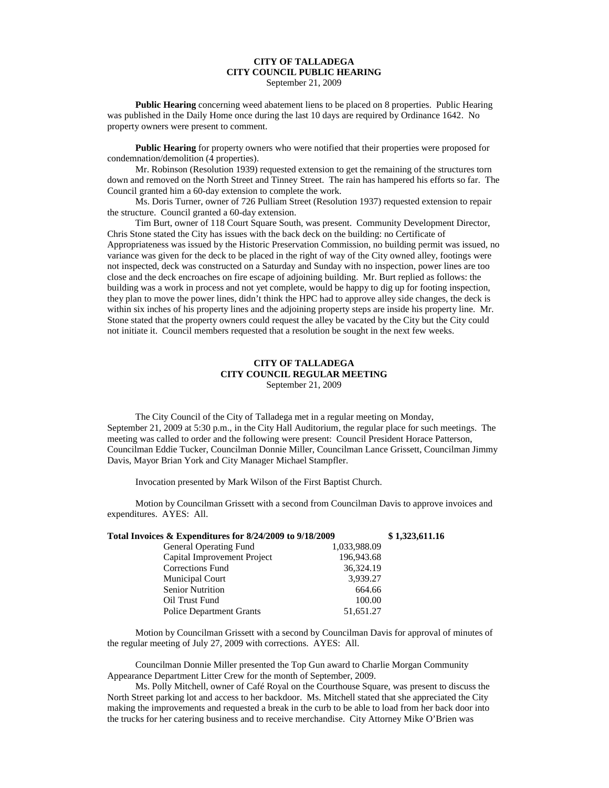## **CITY OF TALLADEGA CITY COUNCIL PUBLIC HEARING** September 21, 2009

**Public Hearing** concerning weed abatement liens to be placed on 8 properties. Public Hearing was published in the Daily Home once during the last 10 days are required by Ordinance 1642. No property owners were present to comment.

**Public Hearing** for property owners who were notified that their properties were proposed for condemnation/demolition (4 properties).

Mr. Robinson (Resolution 1939) requested extension to get the remaining of the structures torn down and removed on the North Street and Tinney Street. The rain has hampered his efforts so far. The Council granted him a 60-day extension to complete the work.

Ms. Doris Turner, owner of 726 Pulliam Street (Resolution 1937) requested extension to repair the structure. Council granted a 60-day extension.

Tim Burt, owner of 118 Court Square South, was present. Community Development Director, Chris Stone stated the City has issues with the back deck on the building: no Certificate of Appropriateness was issued by the Historic Preservation Commission, no building permit was issued, no variance was given for the deck to be placed in the right of way of the City owned alley, footings were not inspected, deck was constructed on a Saturday and Sunday with no inspection, power lines are too close and the deck encroaches on fire escape of adjoining building. Mr. Burt replied as follows: the building was a work in process and not yet complete, would be happy to dig up for footing inspection, they plan to move the power lines, didn't think the HPC had to approve alley side changes, the deck is within six inches of his property lines and the adjoining property steps are inside his property line. Mr. Stone stated that the property owners could request the alley be vacated by the City but the City could not initiate it. Council members requested that a resolution be sought in the next few weeks.

## **CITY OF TALLADEGA CITY COUNCIL REGULAR MEETING** September 21, 2009

The City Council of the City of Talladega met in a regular meeting on Monday, September 21, 2009 at 5:30 p.m., in the City Hall Auditorium, the regular place for such meetings. The meeting was called to order and the following were present: Council President Horace Patterson, Councilman Eddie Tucker, Councilman Donnie Miller, Councilman Lance Grissett, Councilman Jimmy Davis, Mayor Brian York and City Manager Michael Stampfler.

Invocation presented by Mark Wilson of the First Baptist Church.

Motion by Councilman Grissett with a second from Councilman Davis to approve invoices and expenditures. AYES: All.

| Total Invoices & Expenditures for 8/24/2009 to 9/18/2009 | \$1,323,611.16 |  |
|----------------------------------------------------------|----------------|--|
| General Operating Fund                                   | 1,033,988.09   |  |
| Capital Improvement Project                              | 196,943.68     |  |
| Corrections Fund                                         | 36,324.19      |  |
| Municipal Court                                          | 3,939.27       |  |
| <b>Senior Nutrition</b>                                  | 664.66         |  |
| Oil Trust Fund                                           | 100.00         |  |
| <b>Police Department Grants</b>                          | 51,651.27      |  |

Motion by Councilman Grissett with a second by Councilman Davis for approval of minutes of the regular meeting of July 27, 2009 with corrections. AYES: All.

Councilman Donnie Miller presented the Top Gun award to Charlie Morgan Community Appearance Department Litter Crew for the month of September, 2009.

Ms. Polly Mitchell, owner of Café Royal on the Courthouse Square, was present to discuss the North Street parking lot and access to her backdoor. Ms. Mitchell stated that she appreciated the City making the improvements and requested a break in the curb to be able to load from her back door into the trucks for her catering business and to receive merchandise. City Attorney Mike O'Brien was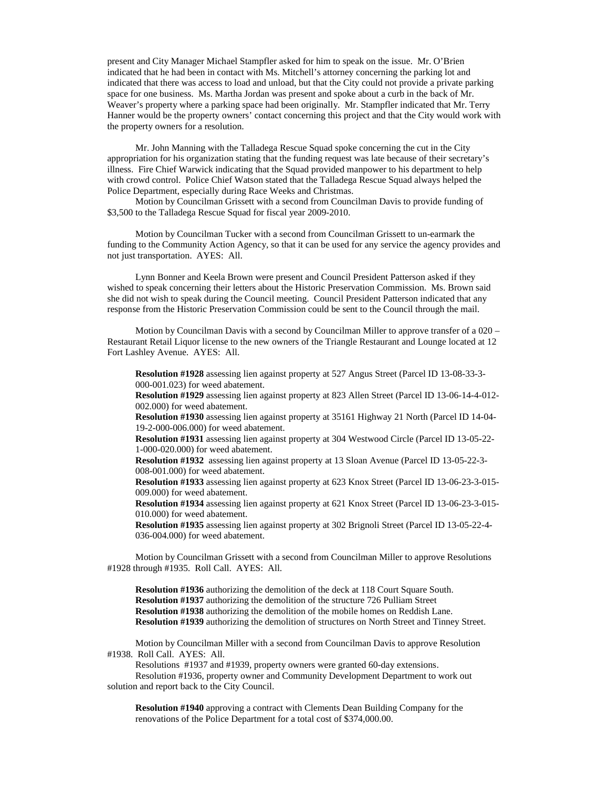present and City Manager Michael Stampfler asked for him to speak on the issue. Mr. O'Brien indicated that he had been in contact with Ms. Mitchell's attorney concerning the parking lot and indicated that there was access to load and unload, but that the City could not provide a private parking space for one business. Ms. Martha Jordan was present and spoke about a curb in the back of Mr. Weaver's property where a parking space had been originally. Mr. Stampfler indicated that Mr. Terry Hanner would be the property owners' contact concerning this project and that the City would work with the property owners for a resolution.

Mr. John Manning with the Talladega Rescue Squad spoke concerning the cut in the City appropriation for his organization stating that the funding request was late because of their secretary's illness. Fire Chief Warwick indicating that the Squad provided manpower to his department to help with crowd control. Police Chief Watson stated that the Talladega Rescue Squad always helped the Police Department, especially during Race Weeks and Christmas.

Motion by Councilman Grissett with a second from Councilman Davis to provide funding of \$3,500 to the Talladega Rescue Squad for fiscal year 2009-2010.

Motion by Councilman Tucker with a second from Councilman Grissett to un-earmark the funding to the Community Action Agency, so that it can be used for any service the agency provides and not just transportation. AYES: All.

Lynn Bonner and Keela Brown were present and Council President Patterson asked if they wished to speak concerning their letters about the Historic Preservation Commission. Ms. Brown said she did not wish to speak during the Council meeting. Council President Patterson indicated that any response from the Historic Preservation Commission could be sent to the Council through the mail.

Motion by Councilman Davis with a second by Councilman Miller to approve transfer of a 020 – Restaurant Retail Liquor license to the new owners of the Triangle Restaurant and Lounge located at 12 Fort Lashley Avenue. AYES: All.

**Resolution #1928** assessing lien against property at 527 Angus Street (Parcel ID 13-08-33-3- 000-001.023) for weed abatement.

**Resolution #1929** assessing lien against property at 823 Allen Street (Parcel ID 13-06-14-4-012- 002.000) for weed abatement.

**Resolution #1930** assessing lien against property at 35161 Highway 21 North (Parcel ID 14-04- 19-2-000-006.000) for weed abatement.

**Resolution #1931** assessing lien against property at 304 Westwood Circle (Parcel ID 13-05-22- 1-000-020.000) for weed abatement.

**Resolution #1932** assessing lien against property at 13 Sloan Avenue (Parcel ID 13-05-22-3- 008-001.000) for weed abatement.

**Resolution #1933** assessing lien against property at 623 Knox Street (Parcel ID 13-06-23-3-015- 009.000) for weed abatement.

**Resolution #1934** assessing lien against property at 621 Knox Street (Parcel ID 13-06-23-3-015- 010.000) for weed abatement.

**Resolution #1935** assessing lien against property at 302 Brignoli Street (Parcel ID 13-05-22-4- 036-004.000) for weed abatement.

Motion by Councilman Grissett with a second from Councilman Miller to approve Resolutions #1928 through #1935. Roll Call. AYES: All.

**Resolution #1936** authorizing the demolition of the deck at 118 Court Square South. **Resolution #1937** authorizing the demolition of the structure 726 Pulliam Street **Resolution #1938** authorizing the demolition of the mobile homes on Reddish Lane. **Resolution #1939** authorizing the demolition of structures on North Street and Tinney Street.

Motion by Councilman Miller with a second from Councilman Davis to approve Resolution #1938. Roll Call. AYES: All.

Resolutions #1937 and #1939, property owners were granted 60-day extensions.

Resolution #1936, property owner and Community Development Department to work out solution and report back to the City Council.

**Resolution #1940** approving a contract with Clements Dean Building Company for the renovations of the Police Department for a total cost of \$374,000.00.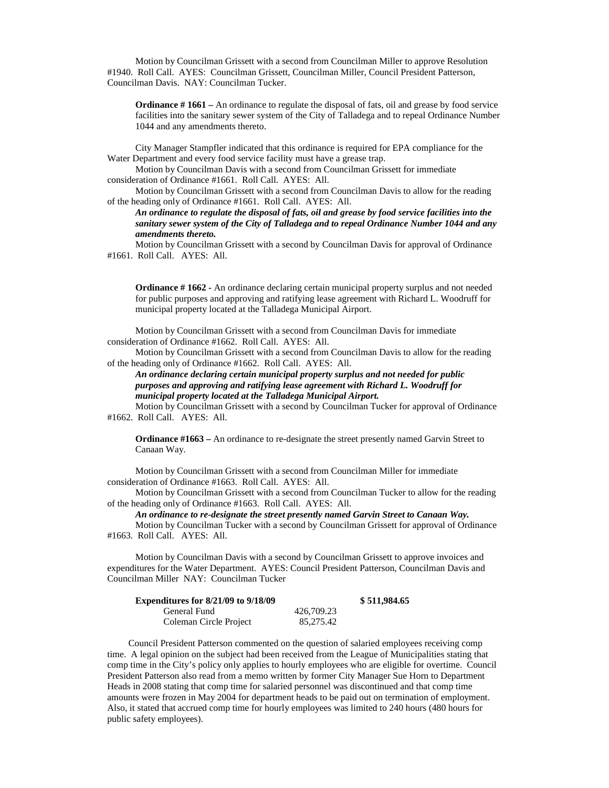Motion by Councilman Grissett with a second from Councilman Miller to approve Resolution #1940. Roll Call. AYES: Councilman Grissett, Councilman Miller, Council President Patterson, Councilman Davis. NAY: Councilman Tucker.

**Ordinance # 1661** – An ordinance to regulate the disposal of fats, oil and grease by food service facilities into the sanitary sewer system of the City of Talladega and to repeal Ordinance Number 1044 and any amendments thereto.

City Manager Stampfler indicated that this ordinance is required for EPA compliance for the Water Department and every food service facility must have a grease trap.

Motion by Councilman Davis with a second from Councilman Grissett for immediate consideration of Ordinance #1661. Roll Call. AYES: All.

Motion by Councilman Grissett with a second from Councilman Davis to allow for the reading of the heading only of Ordinance #1661. Roll Call. AYES: All.

*An ordinance to regulate the disposal of fats, oil and grease by food service facilities into the sanitary sewer system of the City of Talladega and to repeal Ordinance Number 1044 and any amendments thereto.*

Motion by Councilman Grissett with a second by Councilman Davis for approval of Ordinance #1661. Roll Call. AYES: All.

**Ordinance # 1662 -** An ordinance declaring certain municipal property surplus and not needed for public purposes and approving and ratifying lease agreement with Richard L. Woodruff for municipal property located at the Talladega Municipal Airport.

Motion by Councilman Grissett with a second from Councilman Davis for immediate consideration of Ordinance #1662. Roll Call. AYES: All.

Motion by Councilman Grissett with a second from Councilman Davis to allow for the reading of the heading only of Ordinance #1662. Roll Call. AYES: All.

*An ordinance declaring certain municipal property surplus and not needed for public purposes and approving and ratifying lease agreement with Richard L. Woodruff for municipal property located at the Talladega Municipal Airport.*

Motion by Councilman Grissett with a second by Councilman Tucker for approval of Ordinance #1662. Roll Call. AYES: All.

**Ordinance #1663** – An ordinance to re-designate the street presently named Garvin Street to Canaan Way.

Motion by Councilman Grissett with a second from Councilman Miller for immediate consideration of Ordinance #1663. Roll Call. AYES: All.

Motion by Councilman Grissett with a second from Councilman Tucker to allow for the reading of the heading only of Ordinance #1663. Roll Call. AYES: All.

*An ordinance to re-designate the street presently named Garvin Street to Canaan Way.*

Motion by Councilman Tucker with a second by Councilman Grissett for approval of Ordinance #1663. Roll Call. AYES: All.

Motion by Councilman Davis with a second by Councilman Grissett to approve invoices and expenditures for the Water Department. AYES: Council President Patterson, Councilman Davis and Councilman Miller NAY: Councilman Tucker

| <b>Expenditures for 8/21/09 to 9/18/09</b> |            | \$511,984.65 |
|--------------------------------------------|------------|--------------|
| General Fund                               | 426,709.23 |              |
| Coleman Circle Project                     | 85,275.42  |              |

Council President Patterson commented on the question of salaried employees receiving comp time. A legal opinion on the subject had been received from the League of Municipalities stating that comp time in the City's policy only applies to hourly employees who are eligible for overtime. Council President Patterson also read from a memo written by former City Manager Sue Horn to Department Heads in 2008 stating that comp time for salaried personnel was discontinued and that comp time amounts were frozen in May 2004 for department heads to be paid out on termination of employment. Also, it stated that accrued comp time for hourly employees was limited to 240 hours (480 hours for public safety employees).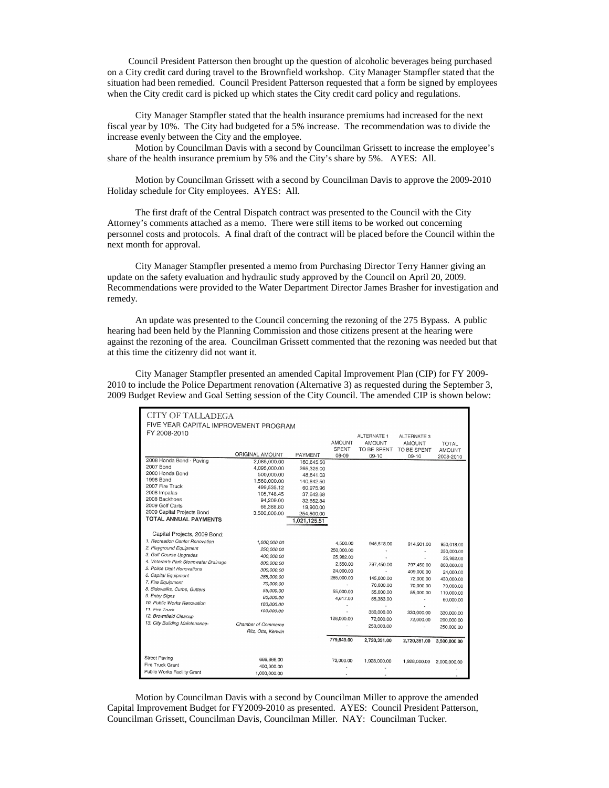Council President Patterson then brought up the question of alcoholic beverages being purchased on a City credit card during travel to the Brownfield workshop. City Manager Stampfler stated that the situation had been remedied. Council President Patterson requested that a form be signed by employees when the City credit card is picked up which states the City credit card policy and regulations.

City Manager Stampfler stated that the health insurance premiums had increased for the next fiscal year by 10%. The City had budgeted for a 5% increase. The recommendation was to divide the increase evenly between the City and the employee.

Motion by Councilman Davis with a second by Councilman Grissett to increase the employee's share of the health insurance premium by 5% and the City's share by 5%. AYES: All.

Motion by Councilman Grissett with a second by Councilman Davis to approve the 2009-2010 Holiday schedule for City employees. AYES: All.

The first draft of the Central Dispatch contract was presented to the Council with the City Attorney's comments attached as a memo. There were still items to be worked out concerning personnel costs and protocols. A final draft of the contract will be placed before the Council within the next month for approval.

City Manager Stampfler presented a memo from Purchasing Director Terry Hanner giving an update on the safety evaluation and hydraulic study approved by the Council on April 20, 2009. Recommendations were provided to the Water Department Director James Brasher for investigation and remedy.

An update was presented to the Council concerning the rezoning of the 275 Bypass. A public hearing had been held by the Planning Commission and those citizens present at the hearing were against the rezoning of the area. Councilman Grissett commented that the rezoning was needed but that at this time the citizenry did not want it.

City Manager Stampfler presented an amended Capital Improvement Plan (CIP) for FY 2009- 2010 to include the Police Department renovation (Alternative 3) as requested during the September 3, 2009 Budget Review and Goal Setting session of the City Council. The amended CIP is shown below:

| <b>CITY OF TALLADEGA</b>              |                     |              |               |               |                         |               |  |  |
|---------------------------------------|---------------------|--------------|---------------|---------------|-------------------------|---------------|--|--|
| FIVE YEAR CAPITAL IMPROVEMENT PROGRAM |                     |              |               |               |                         |               |  |  |
| FY 2008-2010                          |                     |              |               |               |                         |               |  |  |
|                                       |                     |              |               | ALTERNATE 1   | ALTERNATE 3             |               |  |  |
|                                       |                     |              | <b>AMOUNT</b> | <b>AMOUNT</b> | <b>AMOUNT</b>           | <b>TOTAL</b>  |  |  |
|                                       | ORIGINAL AMOUNT     | PAYMENT      | SPENT         | TO BE SPENT   | TO BE SPENT             | <b>AMOUNT</b> |  |  |
| 2008 Honda Bond - Paving              | 2,085,000.00        | 160.645.50   | 08-09         | $09-10$       | $09 - 10$               | 2008-2010     |  |  |
| 2007 Bond                             | 4,095,000.00        | 265,325.00   |               |               |                         |               |  |  |
| 2000 Honda Bond                       | 500,000.00          | 48.641.03    |               |               |                         |               |  |  |
| 1998 Bond                             | 1.560.000.00        | 140,842.50   |               |               |                         |               |  |  |
| 2007 Fire Truck                       | 499,535.12          | 60,975.96    |               |               |                         |               |  |  |
| 2008 Impalas                          | 105,748.45          | 37.642.68    |               |               |                         |               |  |  |
| 2008 Backhoes                         | 94.209.00           | 32,652.84    |               |               |                         |               |  |  |
| 2009 Golf Carts                       | 66,388.80           | 19,900.00    |               |               |                         |               |  |  |
| 2009 Capital Projects Bond            | 3,500,000.00        | 254,500.00   |               |               |                         |               |  |  |
| TOTAL ANNUAL PAYMENTS                 |                     | 1,021,125.51 |               |               |                         |               |  |  |
|                                       |                     |              |               |               |                         |               |  |  |
| Capital Projects, 2009 Bond:          |                     |              |               |               |                         |               |  |  |
| 1. Recreation Center Renovation       | 1,000,000.00        |              | 4,500.00      | 945,518.00    | 914,901.00              |               |  |  |
| 2. Playground Equipment               | 250,000.00          |              | 250,000.00    |               |                         | 950,018.00    |  |  |
| 3. Golf Course Upgrades               | 400,000.00          |              | 25,982.00     |               |                         | 250,000.00    |  |  |
| 4. Veteran's Park Stormwater Drainage | 800,000.00          |              | 2,550.00      | 797.450.00    | 797,450.00              | 25,982.00     |  |  |
| 5. Police Dept Renovations            | 300.000.00          |              | 24,000.00     |               |                         | 800,000.00    |  |  |
| 6. Capital Equipment                  | 285,000.00          |              | 285,000.00    | 145,000.00    | 409.000.00<br>72,000.00 | 24,000.00     |  |  |
| 7. Fire Equipment                     | 70,000.00           |              |               | 70,000.00     |                         | 430,000.00    |  |  |
| 8. Sidewalks, Curbs, Gutters          | 55.000.00           |              | 55,000.00     | 55,000.00     | 70,000.00               | 70,000.00     |  |  |
| 9. Entry Signs                        | 60,000.00           |              | 4,617.00      | 55,383.00     | 55,000.00               | 110,000.00    |  |  |
| 10. Public Works Renovation           | 180,000.00          |              |               |               | ÷,                      | 60,000.00     |  |  |
| 11. Fire Truck                        | 100,000.00          |              |               | 330,000,00    | 330,000.00              |               |  |  |
| 12. Brownfield Cleanup                |                     |              | 128,000.00    | 72,000.00     |                         | 330,000.00    |  |  |
| 13. City Building Maintenance-        | Chamber of Commerce |              |               | 250,000.00    | 72,000.00               | 200,000.00    |  |  |
|                                       | Ritz, Otts, Kenwin  |              |               |               | ×,                      | 250,000.00    |  |  |
|                                       |                     |              | 779,649.00    |               |                         |               |  |  |
|                                       |                     |              |               | 2,720,351.00  | 2,720,351.00            | 3,500,000.00  |  |  |
| Street Paving                         | 666,666.00          |              | 72,000.00     | 1,928,000.00  |                         |               |  |  |
| Fire Truck Grant                      | 400.000.00          |              |               |               | 1,928,000.00            | 2,000,000.00  |  |  |
| Public Works Facility Grant           | 1,000,000.00        |              |               |               |                         |               |  |  |
|                                       |                     |              |               |               |                         |               |  |  |

Motion by Councilman Davis with a second by Councilman Miller to approve the amended Capital Improvement Budget for FY2009-2010 as presented. AYES: Council President Patterson, Councilman Grissett, Councilman Davis, Councilman Miller. NAY: Councilman Tucker.